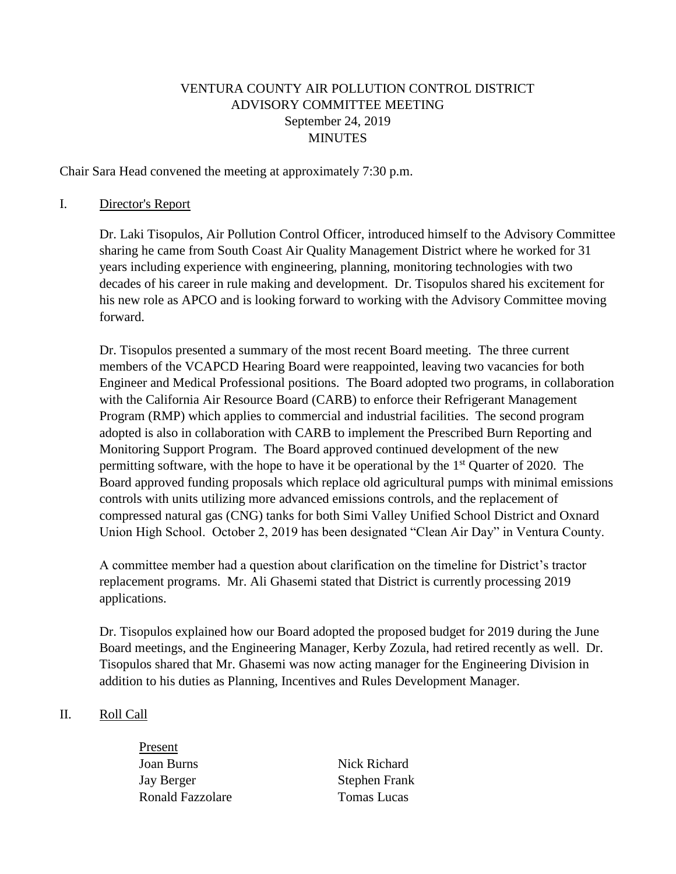## VENTURA COUNTY AIR POLLUTION CONTROL DISTRICT ADVISORY COMMITTEE MEETING September 24, 2019 MINUTES

Chair Sara Head convened the meeting at approximately 7:30 p.m.

#### I. Director's Report

Dr. Laki Tisopulos, Air Pollution Control Officer, introduced himself to the Advisory Committee sharing he came from South Coast Air Quality Management District where he worked for 31 years including experience with engineering, planning, monitoring technologies with two decades of his career in rule making and development. Dr. Tisopulos shared his excitement for his new role as APCO and is looking forward to working with the Advisory Committee moving forward.

Dr. Tisopulos presented a summary of the most recent Board meeting. The three current members of the VCAPCD Hearing Board were reappointed, leaving two vacancies for both Engineer and Medical Professional positions. The Board adopted two programs, in collaboration with the California Air Resource Board (CARB) to enforce their Refrigerant Management Program (RMP) which applies to commercial and industrial facilities. The second program adopted is also in collaboration with CARB to implement the Prescribed Burn Reporting and Monitoring Support Program. The Board approved continued development of the new permitting software, with the hope to have it be operational by the  $1<sup>st</sup>$  Quarter of 2020. The Board approved funding proposals which replace old agricultural pumps with minimal emissions controls with units utilizing more advanced emissions controls, and the replacement of compressed natural gas (CNG) tanks for both Simi Valley Unified School District and Oxnard Union High School. October 2, 2019 has been designated "Clean Air Day" in Ventura County.

A committee member had a question about clarification on the timeline for District's tractor replacement programs. Mr. Ali Ghasemi stated that District is currently processing 2019 applications.

Dr. Tisopulos explained how our Board adopted the proposed budget for 2019 during the June Board meetings, and the Engineering Manager, Kerby Zozula, had retired recently as well. Dr. Tisopulos shared that Mr. Ghasemi was now acting manager for the Engineering Division in addition to his duties as Planning, Incentives and Rules Development Manager.

#### II. Roll Call

Present Joan Burns Nick Richard Jay Berger Stephen Frank Ronald Fazzolare Tomas Lucas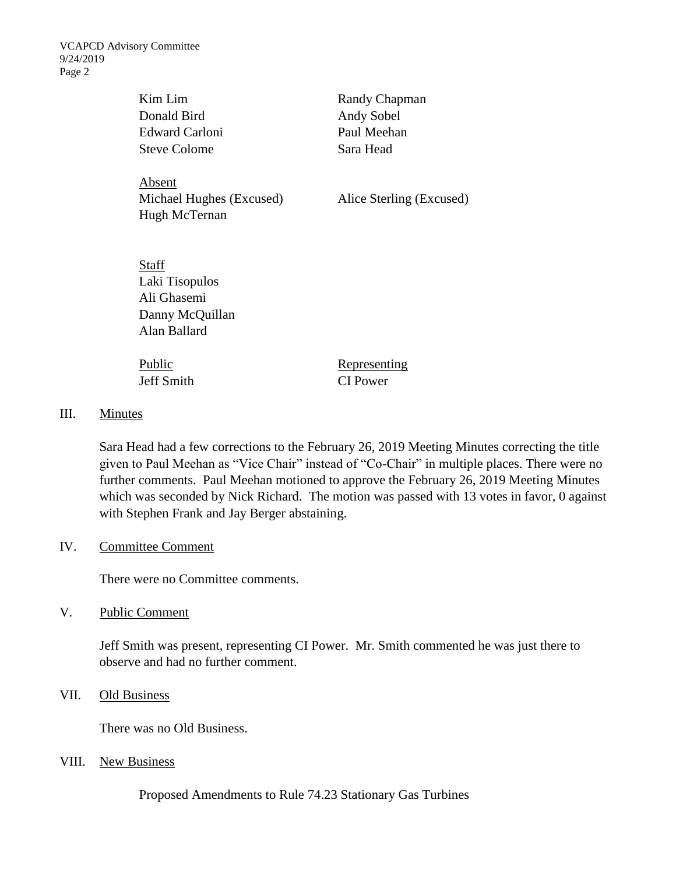VCAPCD Advisory Committee 9/24/2019 Page 2

| Kim Lim<br>Donald Bird<br>Edward Carloni<br><b>Steve Colome</b>           | Randy Chapman<br>Andy Sobel<br>Paul Meehan<br>Sara Head |
|---------------------------------------------------------------------------|---------------------------------------------------------|
| Absent<br>Michael Hughes (Excused)<br>Hugh McTernan                       | Alice Sterling (Excused)                                |
| Staff<br>Laki Tisopulos<br>Ali Ghasemi<br>Danny McQuillan<br>Alan Ballard |                                                         |
| Public                                                                    | Representing                                            |

Jeff Smith CI Power

### III. Minutes

Sara Head had a few corrections to the February 26, 2019 Meeting Minutes correcting the title given to Paul Meehan as "Vice Chair" instead of "Co-Chair" in multiple places. There were no further comments. Paul Meehan motioned to approve the February 26, 2019 Meeting Minutes which was seconded by Nick Richard. The motion was passed with 13 votes in favor, 0 against with Stephen Frank and Jay Berger abstaining.

#### IV. Committee Comment

There were no Committee comments.

V. Public Comment

Jeff Smith was present, representing CI Power. Mr. Smith commented he was just there to observe and had no further comment.

VII. Old Business

There was no Old Business.

VIII. New Business

Proposed Amendments to Rule 74.23 Stationary Gas Turbines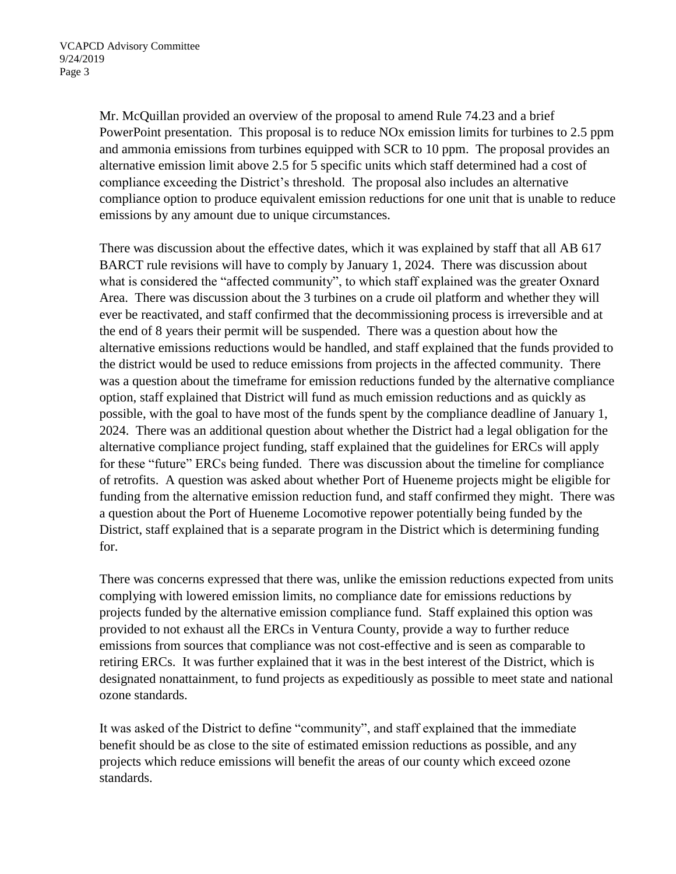Mr. McQuillan provided an overview of the proposal to amend Rule 74.23 and a brief PowerPoint presentation. This proposal is to reduce NOx emission limits for turbines to 2.5 ppm and ammonia emissions from turbines equipped with SCR to 10 ppm. The proposal provides an alternative emission limit above 2.5 for 5 specific units which staff determined had a cost of compliance exceeding the District's threshold. The proposal also includes an alternative compliance option to produce equivalent emission reductions for one unit that is unable to reduce emissions by any amount due to unique circumstances.

There was discussion about the effective dates, which it was explained by staff that all AB 617 BARCT rule revisions will have to comply by January 1, 2024. There was discussion about what is considered the "affected community", to which staff explained was the greater Oxnard Area. There was discussion about the 3 turbines on a crude oil platform and whether they will ever be reactivated, and staff confirmed that the decommissioning process is irreversible and at the end of 8 years their permit will be suspended. There was a question about how the alternative emissions reductions would be handled, and staff explained that the funds provided to the district would be used to reduce emissions from projects in the affected community. There was a question about the timeframe for emission reductions funded by the alternative compliance option, staff explained that District will fund as much emission reductions and as quickly as possible, with the goal to have most of the funds spent by the compliance deadline of January 1, 2024. There was an additional question about whether the District had a legal obligation for the alternative compliance project funding, staff explained that the guidelines for ERCs will apply for these "future" ERCs being funded. There was discussion about the timeline for compliance of retrofits. A question was asked about whether Port of Hueneme projects might be eligible for funding from the alternative emission reduction fund, and staff confirmed they might. There was a question about the Port of Hueneme Locomotive repower potentially being funded by the District, staff explained that is a separate program in the District which is determining funding for.

There was concerns expressed that there was, unlike the emission reductions expected from units complying with lowered emission limits, no compliance date for emissions reductions by projects funded by the alternative emission compliance fund. Staff explained this option was provided to not exhaust all the ERCs in Ventura County, provide a way to further reduce emissions from sources that compliance was not cost-effective and is seen as comparable to retiring ERCs. It was further explained that it was in the best interest of the District, which is designated nonattainment, to fund projects as expeditiously as possible to meet state and national ozone standards.

It was asked of the District to define "community", and staff explained that the immediate benefit should be as close to the site of estimated emission reductions as possible, and any projects which reduce emissions will benefit the areas of our county which exceed ozone standards.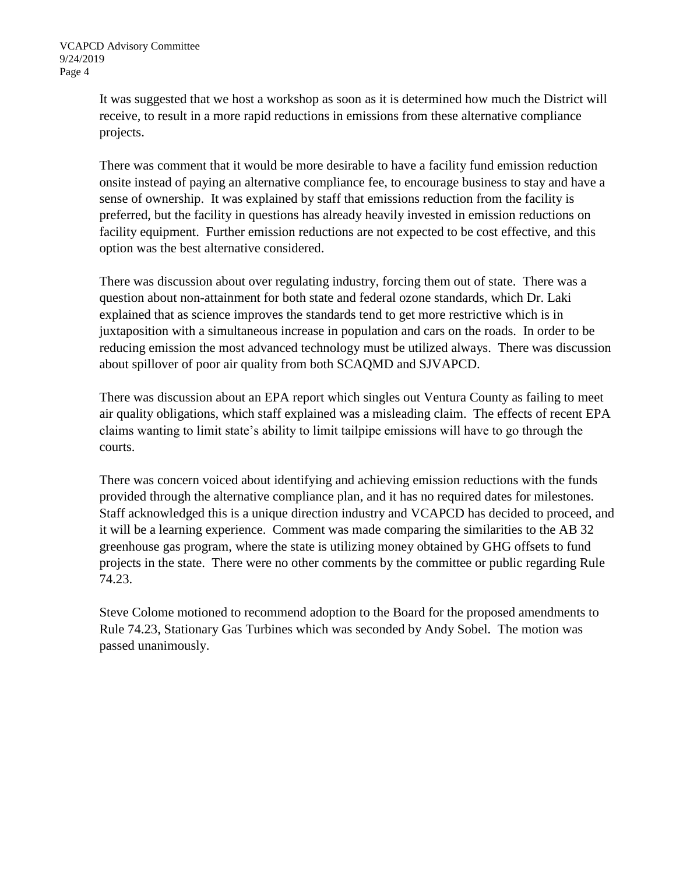It was suggested that we host a workshop as soon as it is determined how much the District will receive, to result in a more rapid reductions in emissions from these alternative compliance projects.

There was comment that it would be more desirable to have a facility fund emission reduction onsite instead of paying an alternative compliance fee, to encourage business to stay and have a sense of ownership. It was explained by staff that emissions reduction from the facility is preferred, but the facility in questions has already heavily invested in emission reductions on facility equipment. Further emission reductions are not expected to be cost effective, and this option was the best alternative considered.

There was discussion about over regulating industry, forcing them out of state. There was a question about non-attainment for both state and federal ozone standards, which Dr. Laki explained that as science improves the standards tend to get more restrictive which is in juxtaposition with a simultaneous increase in population and cars on the roads. In order to be reducing emission the most advanced technology must be utilized always. There was discussion about spillover of poor air quality from both SCAQMD and SJVAPCD.

There was discussion about an EPA report which singles out Ventura County as failing to meet air quality obligations, which staff explained was a misleading claim. The effects of recent EPA claims wanting to limit state's ability to limit tailpipe emissions will have to go through the courts.

There was concern voiced about identifying and achieving emission reductions with the funds provided through the alternative compliance plan, and it has no required dates for milestones. Staff acknowledged this is a unique direction industry and VCAPCD has decided to proceed, and it will be a learning experience. Comment was made comparing the similarities to the AB 32 greenhouse gas program, where the state is utilizing money obtained by GHG offsets to fund projects in the state. There were no other comments by the committee or public regarding Rule 74.23.

Steve Colome motioned to recommend adoption to the Board for the proposed amendments to Rule 74.23, Stationary Gas Turbines which was seconded by Andy Sobel. The motion was passed unanimously.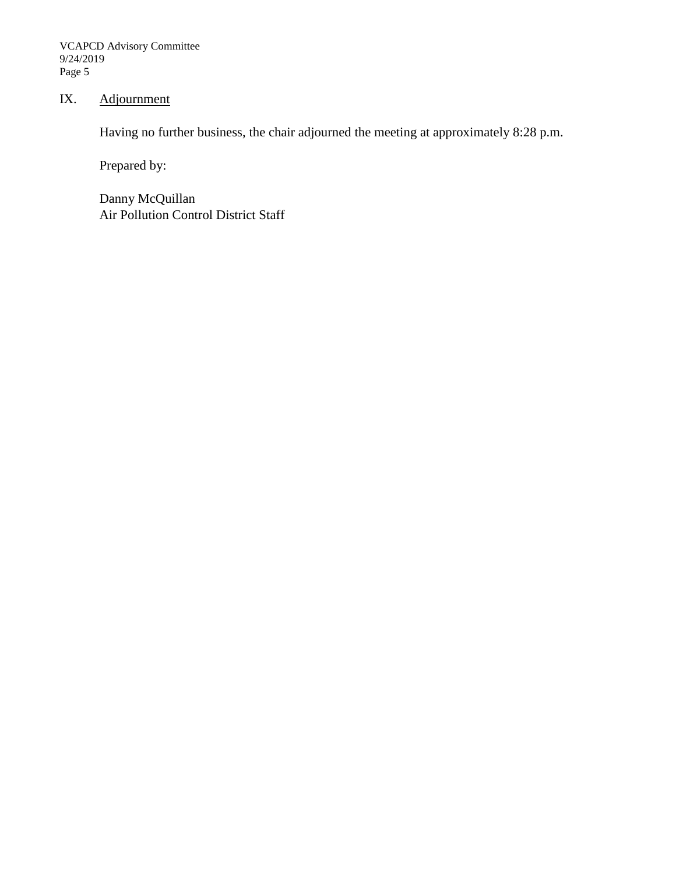VCAPCD Advisory Committee 9/24/2019 Page 5

## IX. Adjournment

Having no further business, the chair adjourned the meeting at approximately 8:28 p.m.

Prepared by:

Danny McQuillan Air Pollution Control District Staff